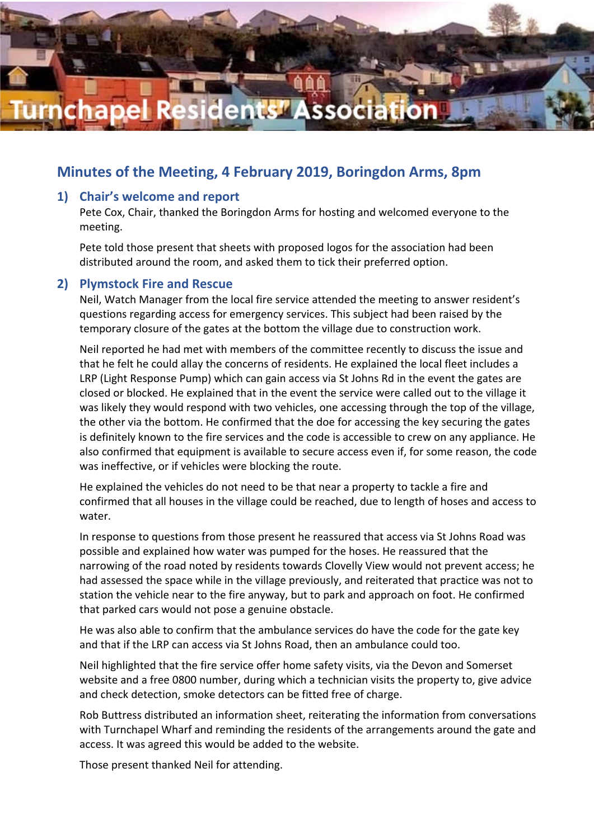

# **Minutes of the Meeting, 4 February 2019, Boringdon Arms, 8pm**

#### **1) Chair's welcome and report**

Pete Cox, Chair, thanked the Boringdon Arms for hosting and welcomed everyone to the meeting.

Pete told those present that sheets with proposed logos for the association had been distributed around the room, and asked them to tick their preferred option.

#### **2) Plymstock Fire and Rescue**

Neil, Watch Manager from the local fire service attended the meeting to answer resident's questions regarding access for emergency services. This subject had been raised by the temporary closure of the gates at the bottom the village due to construction work.

Neil reported he had met with members of the committee recently to discuss the issue and that he felt he could allay the concerns of residents. He explained the local fleet includes a LRP (Light Response Pump) which can gain access via St Johns Rd in the event the gates are closed or blocked. He explained that in the event the service were called out to the village it was likely they would respond with two vehicles, one accessing through the top of the village, the other via the bottom. He confirmed that the doe for accessing the key securing the gates is definitely known to the fire services and the code is accessible to crew on any appliance. He also confirmed that equipment is available to secure access even if, for some reason, the code was ineffective, or if vehicles were blocking the route.

He explained the vehicles do not need to be that near a property to tackle a fire and confirmed that all houses in the village could be reached, due to length of hoses and access to water.

In response to questions from those present he reassured that access via St Johns Road was possible and explained how water was pumped for the hoses. He reassured that the narrowing of the road noted by residents towards Clovelly View would not prevent access; he had assessed the space while in the village previously, and reiterated that practice was not to station the vehicle near to the fire anyway, but to park and approach on foot. He confirmed that parked cars would not pose a genuine obstacle.

He was also able to confirm that the ambulance services do have the code for the gate key and that if the LRP can access via St Johns Road, then an ambulance could too.

Neil highlighted that the fire service offer home safety visits, via the Devon and Somerset website and a free 0800 number, during which a technician visits the property to, give advice and check detection, smoke detectors can be fitted free of charge.

Rob Buttress distributed an information sheet, reiterating the information from conversations with Turnchapel Wharf and reminding the residents of the arrangements around the gate and access. It was agreed this would be added to the website.

Those present thanked Neil for attending.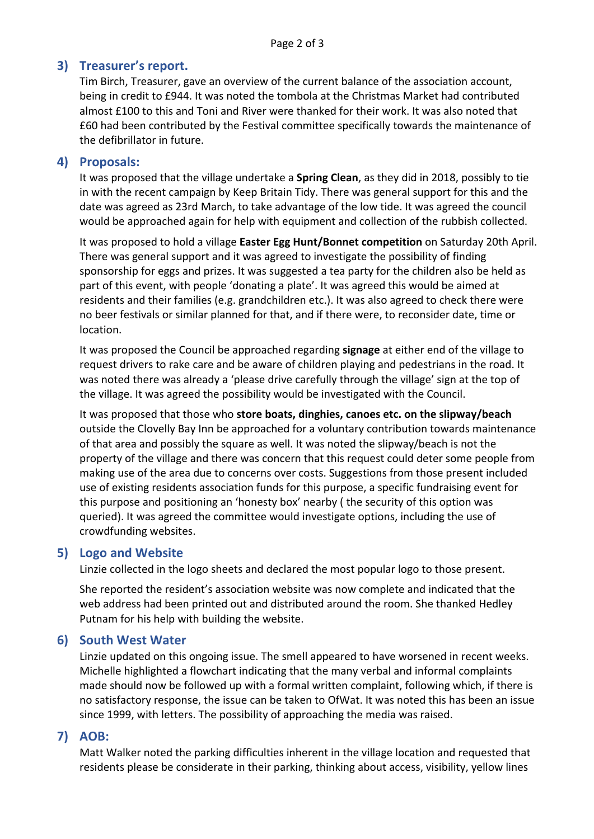## **3) Treasurer's report.**

Tim Birch, Treasurer, gave an overview of the current balance of the association account, being in credit to £944. It was noted the tombola at the Christmas Market had contributed almost £100 to this and Toni and River were thanked for their work. It was also noted that £60 had been contributed by the Festival committee specifically towards the maintenance of the defibrillator in future.

### **4) Proposals:**

It was proposed that the village undertake a **Spring Clean**, as they did in 2018, possibly to tie in with the recent campaign by Keep Britain Tidy. There was general support for this and the date was agreed as 23rd March, to take advantage of the low tide. It was agreed the council would be approached again for help with equipment and collection of the rubbish collected.

It was proposed to hold a village **Easter Egg Hunt/Bonnet competition** on Saturday 20th April. There was general support and it was agreed to investigate the possibility of finding sponsorship for eggs and prizes. It was suggested a tea party for the children also be held as part of this event, with people 'donating a plate'. It was agreed this would be aimed at residents and their families (e.g. grandchildren etc.). It was also agreed to check there were no beer festivals or similar planned for that, and if there were, to reconsider date, time or location.

It was proposed the Council be approached regarding **signage** at either end of the village to request drivers to rake care and be aware of children playing and pedestrians in the road. It was noted there was already a 'please drive carefully through the village' sign at the top of the village. It was agreed the possibility would be investigated with the Council.

It was proposed that those who **store boats, dinghies, canoes etc. on the slipway/beach** outside the Clovelly Bay Inn be approached for a voluntary contribution towards maintenance of that area and possibly the square as well. It was noted the slipway/beach is not the property of the village and there was concern that this request could deter some people from making use of the area due to concerns over costs. Suggestions from those present included use of existing residents association funds for this purpose, a specific fundraising event for this purpose and positioning an 'honesty box' nearby ( the security of this option was queried). It was agreed the committee would investigate options, including the use of crowdfunding websites.

### **5) Logo and Website**

Linzie collected in the logo sheets and declared the most popular logo to those present.

She reported the resident's association website was now complete and indicated that the web address had been printed out and distributed around the room. She thanked Hedley Putnam for his help with building the website.

## **6) South West Water**

Linzie updated on this ongoing issue. The smell appeared to have worsened in recent weeks. Michelle highlighted a flowchart indicating that the many verbal and informal complaints made should now be followed up with a formal written complaint, following which, if there is no satisfactory response, the issue can be taken to OfWat. It was noted this has been an issue since 1999, with letters. The possibility of approaching the media was raised.

## **7) AOB:**

Matt Walker noted the parking difficulties inherent in the village location and requested that residents please be considerate in their parking, thinking about access, visibility, yellow lines